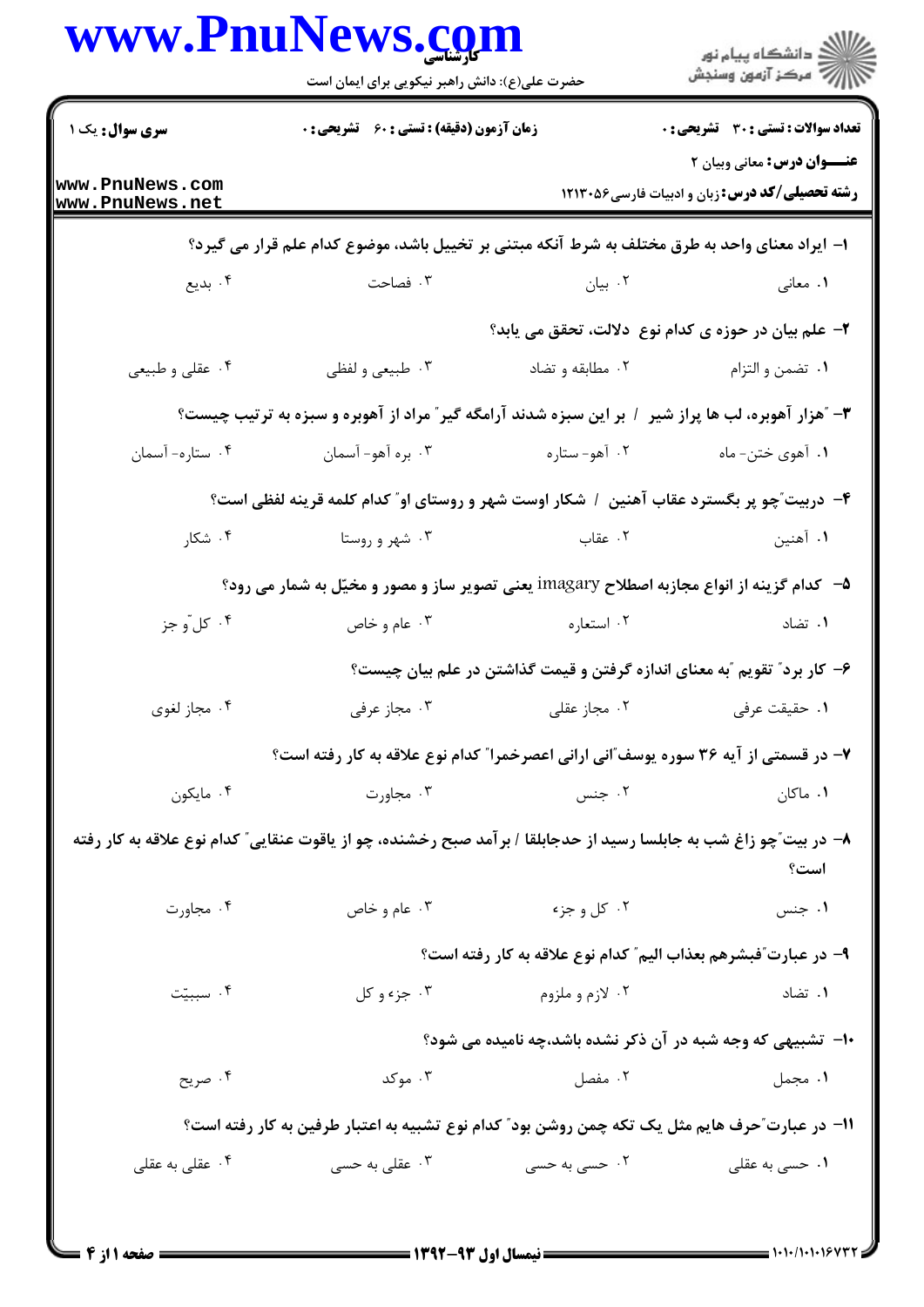| www.PnuNews.com                    | حضرت علی(ع): دانش راهبر نیکویی برای ایمان است                                                                        |                                                                          | الاد دانشگاه پيام نور<br>الاسم مرکز آزمون وسنجش                                            |
|------------------------------------|----------------------------------------------------------------------------------------------------------------------|--------------------------------------------------------------------------|--------------------------------------------------------------------------------------------|
| سری سوال: یک ۱                     | <b>زمان آزمون (دقیقه) : تستی : 60 ٪ تشریحی : 0</b>                                                                   |                                                                          | تعداد سوالات : تستي : 30 - تشريحي : 0                                                      |
| www.PnuNews.com<br>www.PnuNews.net |                                                                                                                      |                                                                          | <b>عنــوان درس:</b> معانی وبیان ۲<br><b>رشته تحصیلی/کد درس: زبان و ادبیات فارسی1۲۱۳۰۵۶</b> |
|                                    | ا– ایراد معنای واحد به طرق مختلف به شرط آنکه مبتنی بر تخییل باشد، موضوع کدام علم قرار می گیرد؟                       |                                                                          |                                                                                            |
| ۰۴ بدیع                            | ۰۳ فصاحت                                                                                                             | ۰۲ بیان                                                                  | ۰۱ معان <sub>ی</sub>                                                                       |
|                                    |                                                                                                                      |                                                                          | ۲- علم بیان در حوزه ی کدام نوع دلالت، تحقق می یابد؟                                        |
| ۰۴ عقلی و طبیعی                    | ۰۳ طبیعی و لفظی                                                                                                      | ۰۲ مطابقه و تضاد                                                         | ٠١ تضمن و التزام                                                                           |
|                                    | ۳- ″هزار آهوبره، لب ها پراز شیر ۱ بر این سبزه شدند آرامگه گیر″ مراد از آهوبره و سبزه به ترتیب چیست؟                  |                                                                          |                                                                                            |
| ۰۴ ستاره- آسمان                    | ۰۳ بره آهو- آسمان                                                                                                    | ۰۲ آهو-ستاره                                                             | ۰۱ آهوي ختن- ماه                                                                           |
|                                    | ۴–  دربیت ّچو پر بگسترد عقاب آهنین ۱ شکار اوست شهر و روستای او ّ کدام کلمه قرینه لفظی است؟                           |                                                                          |                                                                                            |
| ۰۴ شکار                            | ۰۳ شهر و روستا                                                                                                       | ۲. عقاب                                                                  | ۰۱ آهنين                                                                                   |
|                                    | ۵−۔ کدام گزینه از انواع مجازبه اصطلاح imagary یعنی تصویر ساز و مصور و مخیّل به شمار می رود؟                          |                                                                          |                                                                                            |
| ۰۴ کل ّو جز                        | ا عام و خاص $\cdot$ ۳                                                                                                | ۰۲ استعاره                                                               | ۰۱ تضاد                                                                                    |
|                                    |                                                                                                                      | ۶– کار برد″ تقویم ″به معنای اندازه گرفتن و قیمت گذاشتن در علم بیان چیست؟ |                                                                                            |
| ۰۴ مجاز لغوی                       | ۰۳ مجاز عرفی                                                                                                         | ۰۲ مجاز عقلی                                                             | ۰۱ حقیقت عرفی                                                                              |
|                                    | ۷– در قسمتی از آیه ۳۶ سوره یوسف ّانی ارانی اعصرخمرا ّ کدام نوع علاقه به کار رفته است؟                                |                                                                          |                                                                                            |
| ۰۴ مايكون                          | ۰۳ مجاورت                                                                                                            | ۰۲ جنس                                                                   | ۰۱ ماکان                                                                                   |
|                                    | ۸– در بیت ّچو زاغ شب به جابلسا رسید از حدجابلقا / بر آمد صبح رخشنده، چو از یاقوت عنقایی ّ کدام نوع علاقه به کار رفته |                                                                          | است؟                                                                                       |
| ۰۴ مجاورت                          | ۰۳ عام و خاص                                                                                                         | ۰۲ کل و جزء                                                              | ۰۱ جنس                                                                                     |
|                                    |                                                                                                                      | ۹– در عبارت ّفبشرهم بعذاب اليم ّ كدام نوع علاقه به كار رفته است؟         |                                                                                            |
| ۰۴ سببیّت                          | ۰۳ جزء و کل                                                                                                          | ۰۲ لازم و ملزوم                                                          | ۰۱ تضاد                                                                                    |
|                                    |                                                                                                                      | ∙ا− تشبیهی که وجه شبه در آن ذکر نشده باشد،چه نامیده می شود؟              |                                                                                            |
| ۰۴ صریح                            | ۰۳ موکد                                                                                                              | ۰۲ مفصل                                                                  | ۰۱ مجمل                                                                                    |
|                                    | 11– در عبارت ّحرف هایم مثل یک تکه چمن روشن بود ّ کدام نوع تشبیه به اعتبار طرفین به کار رفته است؟                     |                                                                          |                                                                                            |
| ۰۴ عقلی به عقلی                    | قلی به حسی $\cdot$ ۳ .                                                                                               | ۰۲ حسی به حسی                                                            | ۰۱ حسی به عقلی                                                                             |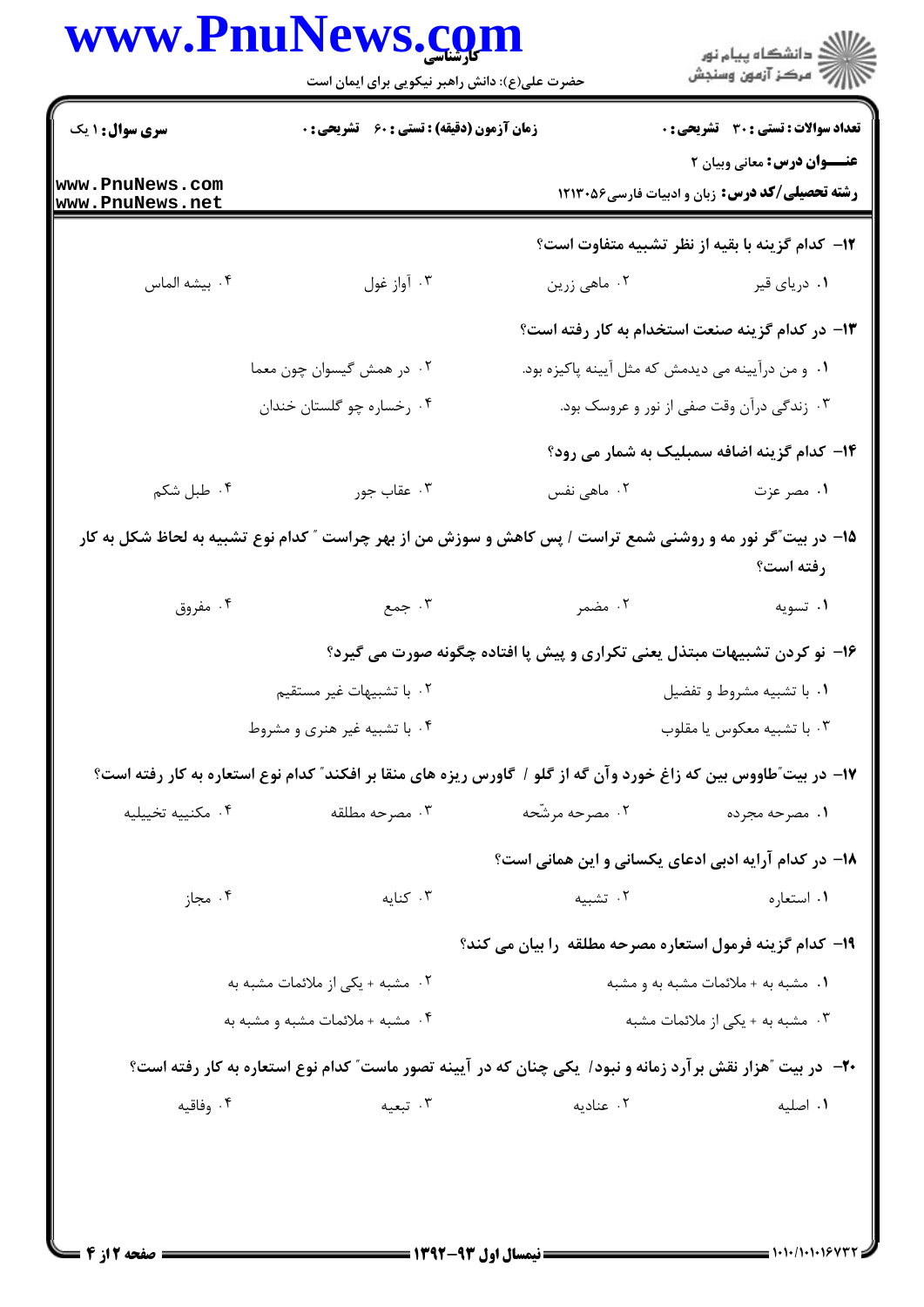## www.PnuNews.com

|                                    | www.Pnulvews.com<br>حضرت علی(ع): دانش راهبر نیکویی برای ایمان است                                                  |                                                                           | ڪ دانشڪاه پيام نور<br>ر∕ مرڪز آزمون وسنڊش                                                   |
|------------------------------------|--------------------------------------------------------------------------------------------------------------------|---------------------------------------------------------------------------|---------------------------------------------------------------------------------------------|
| <b>سری سوال : ۱ یک</b>             | <b>زمان آزمون (دقیقه) : تستی : 60 ٪ تشریحی : 0</b>                                                                 |                                                                           | <b>تعداد سوالات : تستی : 30 ٪ تشریحی : 0</b>                                                |
| www.PnuNews.com<br>www.PnuNews.net |                                                                                                                    |                                                                           | <b>عنـــوان درس:</b> معانی وبیان ۲<br><b>رشته تحصیلی/کد درس:</b> زبان و ادبیات فارسی6۶×۱۲۱۳ |
|                                    |                                                                                                                    |                                                                           | ۱۲- کدام گزینه با بقیه از نظر تشبیه متفاوت است؟                                             |
| ۰۴ بيشه الماس                      | ۰۳ آواز غول                                                                                                        | ۰۲ ماهي زرين                                                              | ۰۱ دریای قیر                                                                                |
|                                    |                                                                                                                    | ۱۳– در کدام گزینه صنعت استخدام به کار رفته است؟                           |                                                                                             |
|                                    | ۰۲ در همش گیسوان چون معما                                                                                          | <b>۱.</b> و من درآیینه می دیدمش که مثل آیینه پاکیزه بود.                  |                                                                                             |
|                                    | ۰۴ رخساره چو گلستان خندان                                                                                          |                                                                           | ۰۳ زندگی درآن وقت صفی از نور و عروسک بود.                                                   |
|                                    |                                                                                                                    |                                                                           | <b>۱۴</b> - کدام گزینه اضافه سمبلیک به شمار می رود؟                                         |
| ۰۴ طبل شکم                         | ۰۳ عقاب جور                                                                                                        | ۰۲ ماهی نفس                                                               | ۱. مصر عزت                                                                                  |
|                                    | ۱۵– در بیت ؒگر نور مه و روشنی شمع تراست / پس کاهش و سوزش من از بهر چراست ؒ کدام نوع تشبیه به لحاظ شکل به کار       |                                                                           | رفته است؟                                                                                   |
| ۰۴ مفروق                           | ۰۳ جمع                                                                                                             | ۰۲ مضمر                                                                   | ۰۱ تسویه                                                                                    |
|                                    |                                                                                                                    | ۱۶- نو کردن تشبیهات مبتذل یعنی تکراری و پیش پا افتاده چگونه صورت می گیرد؟ |                                                                                             |
|                                    | ٠٢ با تشبيهات غير مستقيم                                                                                           |                                                                           | ۰۱ با تشبیه مشروط و تفضیل                                                                   |
|                                    | ۰۴ با تشبیه غیر هنری و مشروط                                                                                       |                                                                           | ۰۳ با تشبیه معکوس یا مقلوب                                                                  |
|                                    | ۱۷– در بیت ّطاووس بین که زاغ خورد وآن گه از گلو / گاورس ریزه های منقا بر افکند ّ کدام نوع استعاره به کار رفته است؟ |                                                                           |                                                                                             |
| ۰۴ مكنييه تخييليه                  | ۰۳ مصرحه مطلقه                                                                                                     | ۰۲ مصرحه مرشّحه                                                           | ۰۱ مصرحه مجرده                                                                              |
|                                    |                                                                                                                    | <b>۱۸</b> – در کدام آرایه ادبی ادعای یکسانی و این همانی است؟              |                                                                                             |
| ۰۴ مجاز                            | ۰۳ کنایه                                                                                                           | ۰۲ تشبیه                                                                  | ۰۱ استعاره                                                                                  |
|                                    |                                                                                                                    | ۱۹- کدام گزینه فرمول استعاره مصرحه مطلقه را بیان می کند؟                  |                                                                                             |
|                                    | ۰۲ مشبه + یکی از ملائمات مشبه به                                                                                   |                                                                           | ۰۱ مشبه به + ملائمات مشبه به و مشبه                                                         |
|                                    | ۰۴ مشبه + ملائمات مشبه و مشبه به                                                                                   |                                                                           | ۰۳ مشبه به + یکی از ملائمات مشبه                                                            |
|                                    | +۲- ً در بیت آهزار نقش برآرد زمانه و نبود/ یکی چنان که در آیینه تصور ماست" کدام نوع استعاره به کار رفته است؟       |                                                                           |                                                                                             |
| ۰۴ وفاقیه                          | ۰۳ تبعیه                                                                                                           | ۰۲ عنادیه                                                                 | ٠١ اصليه                                                                                    |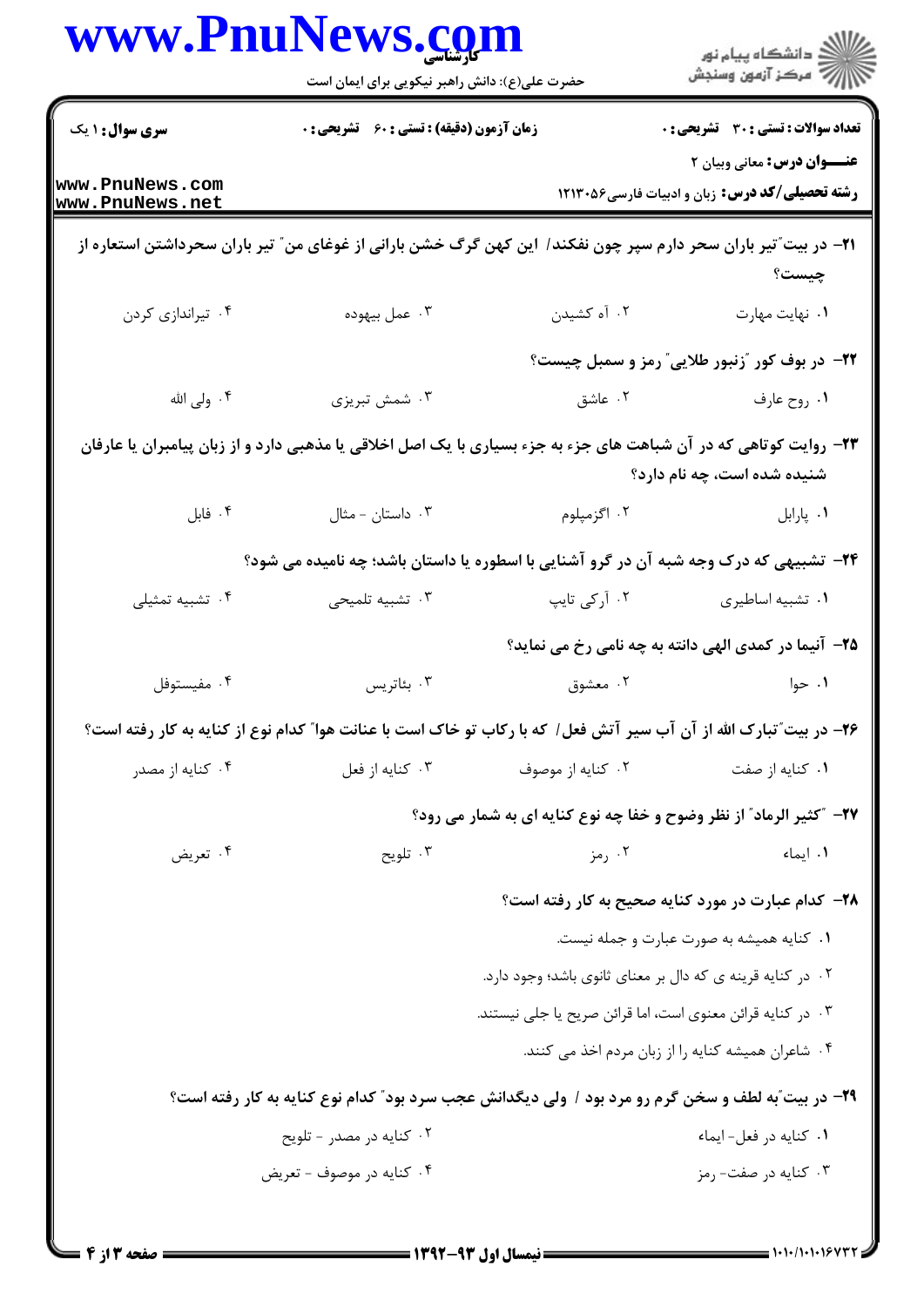| www.PnuNews.co                     | حضرت علی(ع): دانش راهبر نیکویی برای ایمان است      |                   | ڪ دانشڪاه پيام نور<br>پ <sup>ر</sup> مرڪز آزمون وسنڊش                                                                                            |
|------------------------------------|----------------------------------------------------|-------------------|--------------------------------------------------------------------------------------------------------------------------------------------------|
| <b>سری سوال : ۱ یک</b>             | <b>زمان آزمون (دقیقه) : تستی : 60 ٪ تشریحی : 0</b> |                   | <b>تعداد سوالات : تستی : 30 ٪ تشریحی : 0</b>                                                                                                     |
| www.PnuNews.com<br>www.PnuNews.net |                                                    |                   | <b>عنـــوان درس:</b> معانی وبیان ۲<br><b>رشته تحصیلی/کد درس:</b> زبان و ادبیات فارسی1۲۱۳۰۵۶                                                      |
|                                    |                                                    |                   | <b>۳۱</b> – در بیت ؒتیر باران سحر دارم سپر چون نفکند/ این کهن گرگ خشن بارانی از غوغای من ؒ تیر باران سحرداشتن استعاره از<br>چیست؟                |
| ۰۴ تیراندازی کردن                  | ۰۳ عمل بيهوده                                      | ۰۲ آه کشیدن       | ٠١. نهايت مهارت                                                                                                                                  |
|                                    |                                                    |                   | ۲۲– در بوف کور "زنبور طلایی" رمز و سمبل چیست؟                                                                                                    |
| ۰۴ ولی الله                        | ۰۳ شمش تبریزی                                      | ۰۲ عاشق           | ۰۱ روح عارف                                                                                                                                      |
|                                    |                                                    |                   | ۲۳- روایت کوتاهی که در آن شباهت های جزء به جزء بسیاری با یک اصل اخلاقی یا مذهبی دارد و از زبان پیامبران یا عارفان<br>شنیده شده است، چه نام دارد؟ |
| ۰۴ فابل                            | ۰۳ داستان - مثال                                   | ۰۲ اگزمپلوم       | ٠١. پارابل                                                                                                                                       |
|                                    |                                                    |                   | ۲۴- تشبیهی که درک وجه شبه آن در گرو آشنایی با اسطوره یا داستان باشد؛ چه نامیده می شود؟                                                           |
| ۰۴ تشبیه تمثیلی                    | ۰۳ تشبیه تلمیحی                                    | ۰۲ آرکی تایپ      | ٠١ تشبيه اساطيري                                                                                                                                 |
|                                    |                                                    |                   | ۲۵- آنیما در کمدی الهی دانته به چه نامی رخ می نماید؟                                                                                             |
| ۰۴ مفيستوفل                        | ۰۳ بئاتريس                                         | ۰۲ معشوق          | ۰۱ حوا                                                                                                                                           |
|                                    |                                                    |                   | ۲۶– در بیت ؒتبارک الله از آن آب سیر آتش فعل/ که با رکاب تو خاک است با عنانت هوا ؒ کدام نوع از کنایه به کار رفته است؟                             |
| ۰۴ کنایه از مصدر                   | ۰۳ کنايه از فعل                                    | ۰۲ کنایه از موصوف | ۰۱ کنایه از صفت                                                                                                                                  |
|                                    |                                                    |                   | <b>۲۷</b> - "کثیر الرماد" از نظر وضوح و خفا چه نوع کنایه ای به شمار می رود؟                                                                      |
| ۰۴ تعریض                           | ۰۳ تلويح                                           | ۰۲ رمز            | ۰۱ ایماء                                                                                                                                         |
|                                    |                                                    |                   | ۲۸- کدام عبارت در مورد کنایه صحیح به کار رفته است؟                                                                                               |
|                                    |                                                    |                   | ۰۱ کنایه همیشه به صورت عبارت و جمله نیست.                                                                                                        |
|                                    |                                                    |                   | ٠٢ در كنايه قرينه ي كه دال بر معناي ثانوي باشد؛ وجود دارد.                                                                                       |
|                                    |                                                    |                   | ۰۳ در کنایه قرائن معنوی است، اما قرائن صریح یا جلی نیستند.                                                                                       |
|                                    |                                                    |                   | ۰۴ شاعران همیشه کنایه را از زبان مردم اخذ می کنند.                                                                                               |
|                                    |                                                    |                   | ۲۹- در بیت ّبه لطف و سخن گرم رو مرد بود / ولی دیگدانش عجب سرد بود ّ کدام نوع کنایه به کار رفته است؟                                              |
|                                    | ۰۲ کنایه در مصدر - تلویح                           |                   | ٠١ كنايه در فعل-ايماء                                                                                                                            |
|                                    | ۰۴ کنایه در موصوف - تعریض                          |                   | ۰۳ کنایه در صفت- رمز                                                                                                                             |